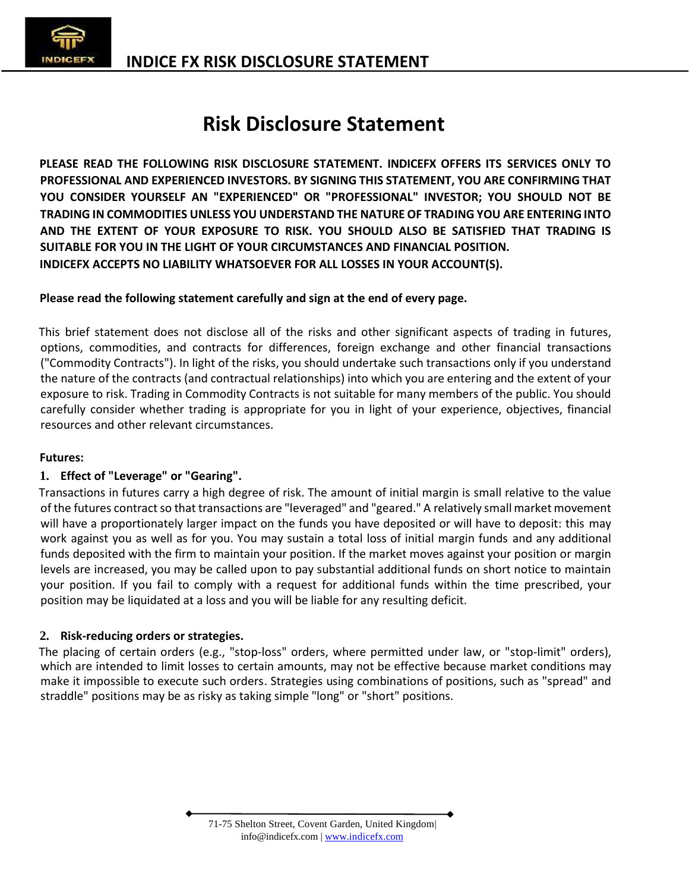

# **Risk Disclosure Statement**

**PLEASE READ THE FOLLOWING RISK DISCLOSURE STATEMENT. INDICEFX OFFERS ITS SERVICES ONLY TO PROFESSIONAL AND EXPERIENCED INVESTORS. BY SIGNING THIS STATEMENT, YOU ARE CONFIRMING THAT YOU CONSIDER YOURSELF AN "EXPERIENCED" OR "PROFESSIONAL" INVESTOR; YOU SHOULD NOT BE TRADING IN COMMODITIES UNLESS YOU UNDERSTAND THE NATURE OF TRADING YOU ARE ENTERINGINTO AND THE EXTENT OF YOUR EXPOSURE TO RISK. YOU SHOULD ALSO BE SATISFIED THAT TRADING IS SUITABLE FOR YOU IN THE LIGHT OF YOUR CIRCUMSTANCES AND FINANCIAL POSITION. INDICEFX ACCEPTS NO LIABILITY WHATSOEVER FOR ALL LOSSES IN YOUR ACCOUNT(S).**

# **Please read the following statement carefully and sign at the end of every page.**

This brief statement does not disclose all of the risks and other significant aspects of trading in futures, options, commodities, and contracts for differences, foreign exchange and other financial transactions ("Commodity Contracts"). In light of the risks, you should undertake such transactions only if you understand the nature of the contracts (and contractual relationships) into which you are entering and the extent of your exposure to risk. Trading in Commodity Contracts is not suitable for many members of the public. You should carefully consider whether trading is appropriate for you in light of your experience, objectives, financial resources and other relevant circumstances.

#### **Futures:**

# **1. Effect of "Leverage" or "Gearing".**

Transactions in futures carry a high degree of risk. The amount of initial margin is small relative to the value of the futures contract so that transactions are "leveraged" and "geared." A relatively small market movement will have a proportionately larger impact on the funds you have deposited or will have to deposit: this may work against you as well as for you. You may sustain a total loss of initial margin funds and any additional funds deposited with the firm to maintain your position. If the market moves against your position or margin levels are increased, you may be called upon to pay substantial additional funds on short notice to maintain your position. If you fail to comply with a request for additional funds within the time prescribed, your position may be liquidated at a loss and you will be liable for any resulting deficit.

# **2. Risk-reducing orders or strategies.**

The placing of certain orders (e.g., "stop-loss" orders, where permitted under law, or "stop-limit" orders), which are intended to limit losses to certain amounts, may not be effective because market conditions may make it impossible to execute such orders. Strategies using combinations of positions, such as "spread" and straddle" positions may be as risky as taking simple "long" or "short" positions.

> 71-75 Shelton Street, Covent Garden, United Kingdom| info@indicefx.com | www.indicefx.com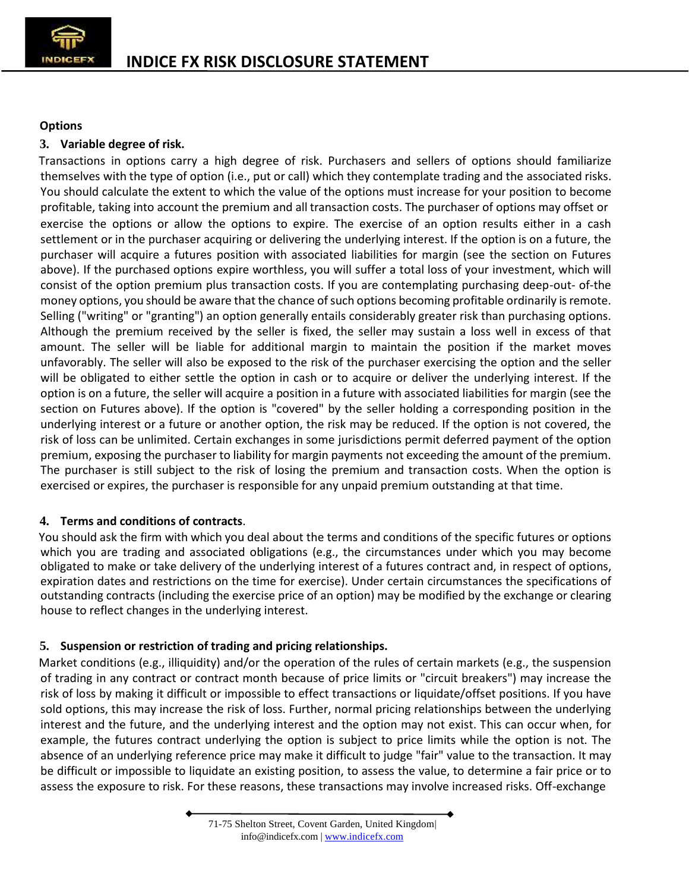

#### **Options**

#### **3. Variable degree of risk.**

Transactions in options carry a high degree of risk. Purchasers and sellers of options should familiarize themselves with the type of option (i.e., put or call) which they contemplate trading and the associated risks. You should calculate the extent to which the value of the options must increase for your position to become profitable, taking into account the premium and all transaction costs. The purchaser of options may offset or exercise the options or allow the options to expire. The exercise of an option results either in a cash settlement or in the purchaser acquiring or delivering the underlying interest. If the option is on a future, the purchaser will acquire a futures position with associated liabilities for margin (see the section on Futures above). If the purchased options expire worthless, you will suffer a total loss of your investment, which will consist of the option premium plus transaction costs. If you are contemplating purchasing deep-out- of-the money options, you should be aware that the chance of such options becoming profitable ordinarily is remote. Selling ("writing" or "granting") an option generally entails considerably greater risk than purchasing options. Although the premium received by the seller is fixed, the seller may sustain a loss well in excess of that amount. The seller will be liable for additional margin to maintain the position if the market moves unfavorably. The seller will also be exposed to the risk of the purchaser exercising the option and the seller will be obligated to either settle the option in cash or to acquire or deliver the underlying interest. If the option is on a future, the seller will acquire a position in a future with associated liabilities for margin (see the section on Futures above). If the option is "covered" by the seller holding a corresponding position in the underlying interest or a future or another option, the risk may be reduced. If the option is not covered, the risk of loss can be unlimited. Certain exchanges in some jurisdictions permit deferred payment of the option premium, exposing the purchaser to liability for margin payments not exceeding the amount of the premium. The purchaser is still subject to the risk of losing the premium and transaction costs. When the option is exercised or expires, the purchaser is responsible for any unpaid premium outstanding at that time.

# **4. Terms and conditions of contracts**.

You should ask the firm with which you deal about the terms and conditions of the specific futures or options which you are trading and associated obligations (e.g., the circumstances under which you may become obligated to make or take delivery of the underlying interest of a futures contract and, in respect of options, expiration dates and restrictions on the time for exercise). Under certain circumstances the specifications of outstanding contracts (including the exercise price of an option) may be modified by the exchange or clearing house to reflect changes in the underlying interest.

# **5. Suspension or restriction of trading and pricing relationships.**

Market conditions (e.g., illiquidity) and/or the operation of the rules of certain markets (e.g., the suspension of trading in any contract or contract month because of price limits or "circuit breakers") may increase the risk of loss by making it difficult or impossible to effect transactions or liquidate/offset positions. If you have sold options, this may increase the risk of loss. Further, normal pricing relationships between the underlying interest and the future, and the underlying interest and the option may not exist. This can occur when, for example, the futures contract underlying the option is subject to price limits while the option is not. The absence of an underlying reference price may make it difficult to judge "fair" value to the transaction. It may be difficult or impossible to liquidate an existing position, to assess the value, to determine a fair price orto assess the exposure to risk. For these reasons, these transactions may involve increased risks. Off-exchange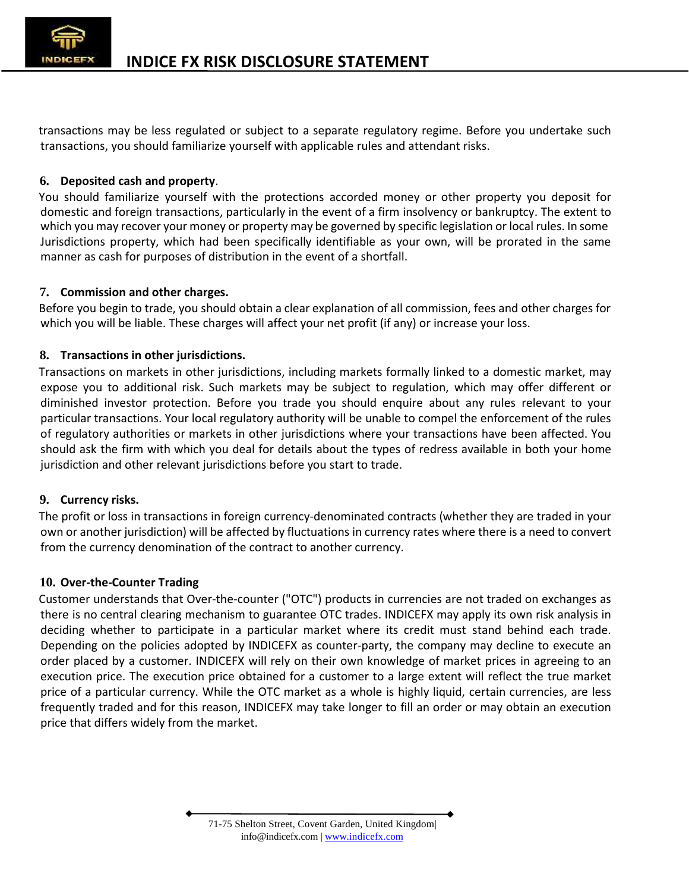

transactions may be less regulated or subject to a separate regulatory regime. Before you undertake such transactions, you should familiarize yourself with applicable rules and attendant risks.

# **6. Deposited cash and property**.

You should familiarize yourself with the protections accorded money or other property you deposit for domestic and foreign transactions, particularly in the event of a firm insolvency or bankruptcy. The extent to which you may recover your money or property may be governed by specific legislation or local rules. In some Jurisdictions property, which had been specifically identifiable as your own, will be prorated in the same manner as cash for purposes of distribution in the event of a shortfall.

# **7. Commission and other charges.**

Before you begin to trade, you should obtain a clear explanation of allcommission, fees and other charges for which you will be liable. These charges will affect your net profit (if any) or increase your loss.

# **8. Transactions in other jurisdictions.**

Transactions on markets in other jurisdictions, including markets formally linked to a domestic market, may expose you to additional risk. Such markets may be subject to regulation, which may offer different or diminished investor protection. Before you trade you should enquire about any rules relevant to your particular transactions. Your local regulatory authority will be unable to compel the enforcement of the rules of regulatory authorities or markets in other jurisdictions where your transactions have been affected. You should ask the firm with which you deal for details about the types of redress available in both your home jurisdiction and other relevant jurisdictions before you start to trade.

# **9. Currency risks.**

The profit or loss in transactions in foreign currency-denominated contracts (whether they are traded in your own or another jurisdiction) will be affected by fluctuations in currency rates where there is a need to convert from the currency denomination of the contract to another currency.

# **10. Over-the-Counter Trading**

Customer understands that Over-the-counter ("OTC") products in currencies are not traded on exchanges as there is no central clearing mechanism to guarantee OTC trades. INDICEFX may apply its own risk analysis in deciding whether to participate in a particular market where its credit must stand behind each trade. Depending on the policies adopted by INDICEFX as counter-party, the company may decline to execute an order placed by a customer. INDICEFX will rely on their own knowledge of market prices in agreeing to an execution price. The execution price obtained for a customer to a large extent will reflect the true market price of a particular currency. While the OTC market as a whole is highly liquid, certain currencies, are less frequently traded and for this reason, INDICEFX may take longer to fill an order or may obtain an execution price that differs widely from the market.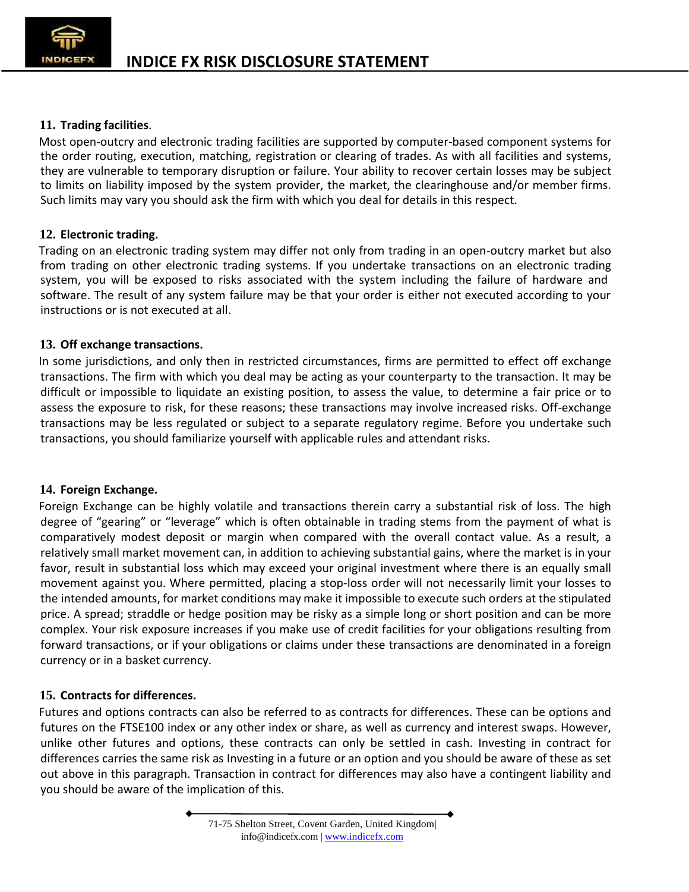

# **11. Trading facilities**.

Most open-outcry and electronic trading facilities are supported by computer-based component systems for the order routing, execution, matching, registration or clearing of trades. As with all facilities and systems, they are vulnerable to temporary disruption or failure. Your ability to recover certain losses may be subject to limits on liability imposed by the system provider, the market, the clearinghouse and/or member firms. Such limits may vary you should ask the firm with which you deal for details in this respect.

# **12. Electronic trading.**

Trading on an electronic trading system may differ not only from trading in an open-outcry market but also from trading on other electronic trading systems. If you undertake transactions on an electronic trading system, you will be exposed to risks associated with the system including the failure of hardware and software. The result of any system failure may be that your order is either not executed according to your instructions or is not executed at all.

# **13. Off exchange transactions.**

In some jurisdictions, and only then in restricted circumstances, firms are permitted to effect off exchange transactions. The firm with which you deal may be acting as your counterparty to the transaction. It may be difficult or impossible to liquidate an existing position, to assess the value, to determine a fair price or to assess the exposure to risk, for these reasons; these transactions may involve increased risks. Off-exchange transactions may be less regulated or subject to a separate regulatory regime. Before you undertake such transactions, you should familiarize yourself with applicable rules and attendant risks.

# **14. Foreign Exchange.**

Foreign Exchange can be highly volatile and transactions therein carry a substantial risk of loss. The high degree of "gearing" or "leverage" which is often obtainable in trading stems from the payment of what is comparatively modest deposit or margin when compared with the overall contact value. As a result, a relatively small market movement can, in addition to achieving substantial gains, where the market is in your favor, result in substantial loss which may exceed your original investment where there is an equally small movement against you. Where permitted, placing a stop-loss order will not necessarily limit your losses to the intended amounts, for market conditions may make it impossible to execute such orders at the stipulated price. A spread; straddle or hedge position may be risky as a simple long or short position and can be more complex. Your risk exposure increases if you make use of credit facilities for your obligations resulting from forward transactions, or if your obligations or claims under these transactions are denominated in a foreign currency or in a basket currency.

# **15. Contracts for differences.**

Futures and options contracts can also be referred to as contracts for differences. These can be options and futures on the FTSE100 index or any other index or share, as well as currency and interest swaps. However, unlike other futures and options, these contracts can only be settled in cash. Investing in contract for differences carries the same risk as Investing in a future or an option and you should be aware of these as set out above in this paragraph. Transaction in contract for differences may also have a contingent liability and you should be aware of the implication of this.